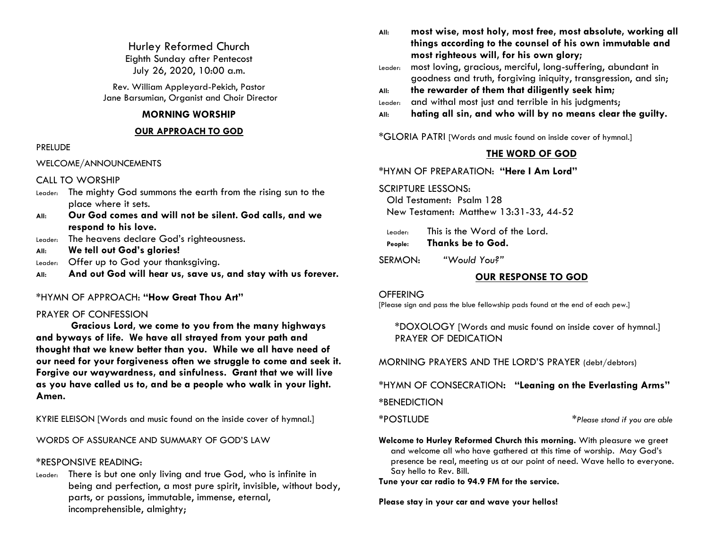Hurley Reformed Church Eighth Sunday after Pentecost July 26, 2020, 10:00 a.m.

Rev. William Appleyard-Pekich, Pastor Jane Barsumian, Organist and Choir Director

## **MORNING WORSHIP**

### **OUR APPROACH TO GOD**

### PRELUDE

WELCOME/ANNOUNCEMENTS

CALL TO WORSHIP

- Leader: The mighty God summons the earth from the rising sun to the place where it sets.
- **All: Our God comes and will not be silent. God calls, and we respond to his love.**
- Leader: The heavens declare God's righteousness.
- **All: We tell out God's glories!**
- Leader: Offer up to God your thanksgiving.
- **All: And out God will hear us, save us, and stay with us forever.**

## \*HYMN OF APPROACH: **"How Great Thou Art"**

## PRAYER OF CONFESSION

**Gracious Lord, we come to you from the many highways and byways of life. We have all strayed from your path and thought that we knew better than you. While we all have need of our need for your forgiveness often we struggle to come and seek it. Forgive our waywardness, and sinfulness. Grant that we will live as you have called us to, and be a people who walk in your light. Amen.**

KYRIE ELEISON [Words and music found on the inside cover of hymnal.]

WORDS OF ASSURANCE AND SUMMARY OF GOD'S LAW

## \*RESPONSIVE READING:

Leader: There is but one only living and true God, who is infinite in being and perfection, a most pure spirit, invisible, without body, parts, or passions, immutable, immense, eternal, incomprehensible, almighty;

**All: most wise, most holy, most free, most absolute, working all things according to the counsel of his own immutable and most righteous will, for his own glory;** 

Leader: most loving, gracious, merciful, long-suffering, abundant in goodness and truth, forgiving iniquity, transgression, and sin;

- **All: the rewarder of them that diligently seek him;**
- Leader: and withal most just and terrible in his judgments;
- **All: hating all sin, and who will by no means clear the guilty.**

\*GLORIA PATRI [Words and music found on inside cover of hymnal.]

## **THE WORD OF GOD**

\*HYMN OF PREPARATION: **"Here I Am Lord"**

## SCRIPTURE LESSONS:

Old Testament: Psalm 128 New Testament: Matthew 13:31-33, 44-52

Leader: This is the Word of the Lord. **People: Thanks be to God.**

SERMON: *"Would You?"*

## **OUR RESPONSE TO GOD**

### **OFFERING**

[Please sign and pass the blue fellowship pads found at the end of each pew.]

\*DOXOLOGY [Words and music found on inside cover of hymnal.] PRAYER OF DEDICATION

MORNING PRAYERS AND THE LORD'S PRAYER (debt/debtors)

\*HYMN OF CONSECRATION**: "Leaning on the Everlasting Arms"**

**\***BENEDICTION

\*POSTLUDE \**Please stand if you are able*

**Welcome to Hurley Reformed Church this morning.** With pleasure we greet and welcome all who have gathered at this time of worship. May God's presence be real, meeting us at our point of need. Wave hello to everyone. Say hello to Rev. Bill.

**Tune your car radio to 94.9 FM for the service.**

**Please stay in your car and wave your hellos!**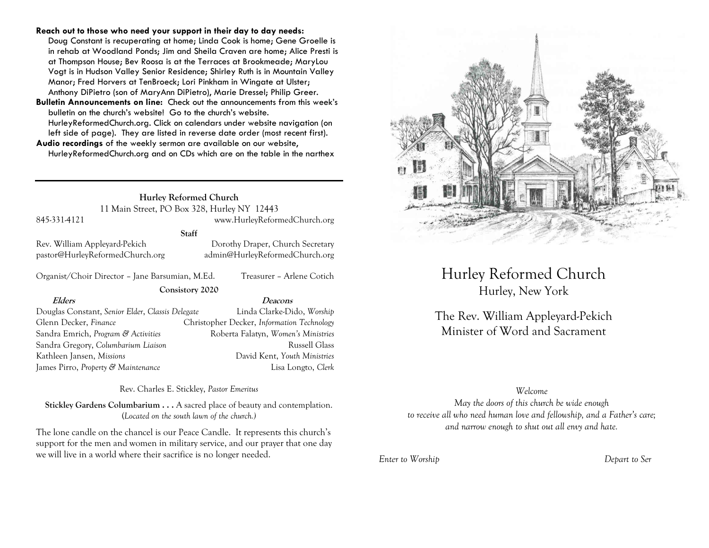#### **Reach out to those who need your support in their day to day needs:**

Doug Constant is recuperating at home; Linda Cook is home; Gene Groelle is in rehab at Woodland Ponds; Jim and Sheila Craven are home; Alice Presti is at Thompson House; Bev Roosa is at the Terraces at Brookmeade; MaryLou Vogt is in Hudson Valley Senior Residence; Shirley Ruth is in Mountain Valley Manor; Fred Horvers at TenBroeck; Lori Pinkham in Wingate at Ulster; Anthony DiPietro (son of MaryAnn DiPietro), Marie Dressel; Philip Greer.

**Bulletin Announcements on line:** Check out the announcements from this week's bulletin on the church's website! Go to the church's website. HurleyReformedChurch.org. Click on calendars under website navigation (on left side of page). They are listed in reverse date order (most recent first).

**Audio recordings** of the weekly sermon are available on our website, HurleyReformedChurch.org and on CDs which are on the table in the narthex

## **Hurley Reformed Church** 11 Main Street, PO Box 328, Hurley NY 12443 845-331-4121 www.HurleyReformedChurch.org

**Staff**

**Consistory 2020**

Rev. William Appleyard-Pekich Dorothy Draper, Church Secretary pastor@HurleyReformedChurch.org admin@HurleyReformedChurch.org

Organist/Choir Director – Jane Barsumian, M.Ed. Treasurer – Arlene Cotich

**Elders Deacons**

Douglas Constant, *Senior Elder*, *Classis Delegate* Linda Clarke-Dido, *Worship* Glenn Decker, *Finance* Christopher Decker, *Information Technology* Sandra Emrich, *Program & Activities* Roberta Falatyn, *Women's Ministries* Sandra Gregory, *Columbarium Liaison* **Russell Glass** Russell Glass Kathleen Jansen, *Missions* David Kent, *Youth Ministries* James Pirro, *Property & Maintenance* Lisa Longto, *Clerk*

Rev. Charles E. Stickley, *Pastor Emeritus*

**Stickley Gardens Columbarium . . .** A sacred place of beauty and contemplation. (*Located on the south lawn of the church.)* 

The lone candle on the chancel is our Peace Candle. It represents this church's support for the men and women in military service, and our prayer that one day we will live in a world where their sacrifice is no longer needed.



# Hurley Reformed Church Hurley, New York

The Rev. William Appleyard-Pekich Minister of Word and Sacrament

### *Welcome*

*May the doors of this church be wide enough to receive all who need human love and fellowship, and a Father's care; and narrow enough to shut out all envy and hate.*

*Enter to Worship Depart to Ser*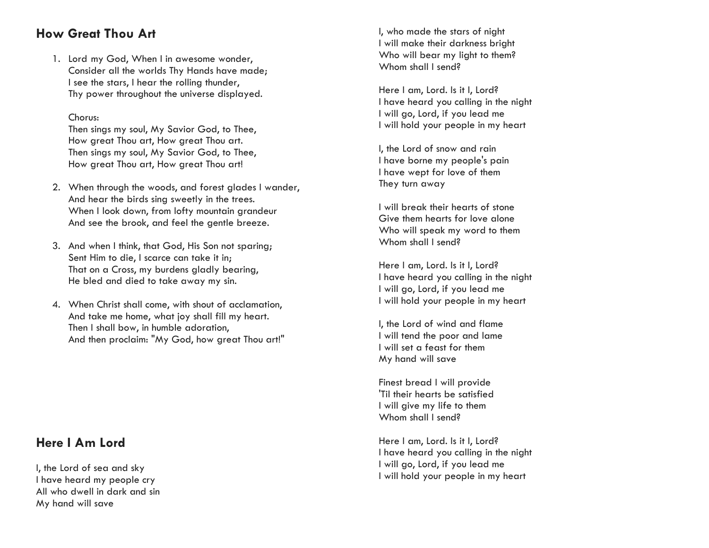## **How Great Thou Art**

1. Lord my God, When I in awesome wonder, Consider all the worlds Thy Hands have made; I see the stars, I hear the rolling thunder, Thy power throughout the universe displayed.

## Chorus:

Then sings my soul, My Savior God, to Thee, How great Thou art, How great Thou art. Then sings my soul, My Savior God, to Thee, How great Thou art, How great Thou art!

- 2. When through the woods, and forest glades I wander, And hear the birds sing sweetly in the trees. When I look down, from lofty mountain grandeur And see the brook, and feel the gentle breeze.
- 3. And when I think, that God, His Son not sparing; Sent Him to die, I scarce can take it in; That on a Cross, my burdens gladly bearing, He bled and died to take away my sin.
- 4. When Christ shall come, with shout of acclamation, And take me home, what joy shall fill my heart. Then I shall bow, in humble adoration, And then proclaim: "My God, how great Thou art!"

## **Here I Am Lord**

I, the Lord of sea and sky I have heard my people cry All who dwell in dark and sin My hand will save

I, who made the stars of night I will make their darkness bright Who will bear my light to them? Whom shall I send?

Here I am, Lord. Is it I, Lord? I have heard you calling in the night I will go, Lord, if you lead me I will hold your people in my heart

I, the Lord of snow and rain I have borne my people's pain I have wept for love of them They turn away

I will break their hearts of stone Give them hearts for love alone Who will speak my word to them Whom shall I send?

Here I am, Lord. Is it I, Lord? I have heard you calling in the night I will go, Lord, if you lead me I will hold your people in my heart

I, the Lord of wind and flame I will tend the poor and lame I will set a feast for them My hand will save

Finest bread I will provide 'Til their hearts be satisfied I will give my life to them Whom shall I send?

Here I am, Lord. Is it I, Lord? I have heard you calling in the night I will go, Lord, if you lead me I will hold your people in my heart